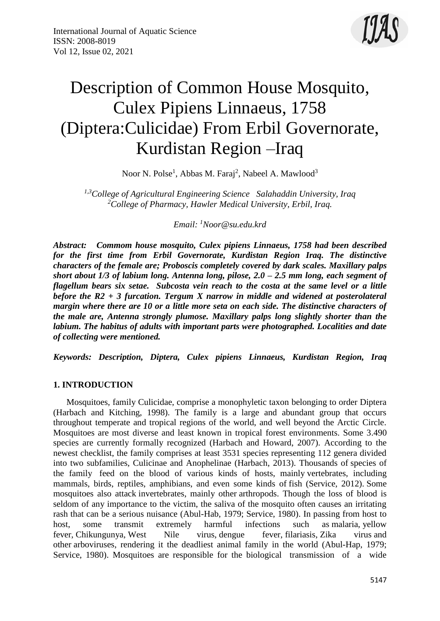

# Description of Common House Mosquito, Culex Pipiens Linnaeus, 1758 (Diptera:Culicidae) From Erbil Governorate, Kurdistan Region –Iraq

Noor N. Polse<sup>1</sup>, Abbas M. Faraj<sup>2</sup>, Nabeel A. Mawlood<sup>3</sup>

*1,3College of Agricultural Engineering Science Salahaddin University, Iraq <sup>2</sup>College of Pharmacy, Hawler Medical University, Erbil, Iraq.*

*Email: <sup>1</sup>Noor@su.edu.krd*

*Abstract: Commom house mosquito, Culex pipiens Linnaeus, 1758 had been described for the first time from Erbil Governorate, Kurdistan Region Iraq. The distinctive characters of the female are; Proboscis completely covered by dark scales. Maxillary palps short about 1/3 of labium long. Antenna long, pilose, 2.0 – 2.5 mm long, each segment of flagellum bears six setae. Subcosta vein reach to the costa at the same level or a little before the R2 + 3 furcation. Tergum X narrow in middle and widened at posterolateral margin where there are 10 or a little more seta on each side. The distinctive characters of the male are, Antenna strongly plumose. Maxillary palps long slightly shorter than the labium. The habitus of adults with important parts were photographed. Localities and date of collecting were mentioned.*

*Keywords: Description, Diptera, Culex pipiens Linnaeus, Kurdistan Region, Iraq* 

#### **1. INTRODUCTION**

 Mosquitoes, family Culicidae, comprise a monophyletic taxon belonging to order Diptera (Harbach and Kitching, 1998). The family is a large and abundant group that occurs throughout temperate and tropical regions of the world, and well beyond the Arctic Circle. Mosquitoes are most diverse and least known in tropical forest environments. Some 3.490 species are currently formally recognized (Harbach and Howard, 2007). According to the newest checklist, the family comprises at least 3531 species representing 112 genera divided into two subfamilies, Culicinae and Anophelinae (Harbach, 2013). Thousands of [species](https://en.wikipedia.org/wiki/Species) of the family feed on the blood of various kinds of hosts, mainly [vertebrates,](https://en.wikipedia.org/wiki/Vertebrate) including mammals, birds, reptiles, amphibians, and even some kinds of [fish](https://en.wikipedia.org/wiki/Fish) (Service, 2012). Some mosquitoes also attack [invertebrates,](https://en.wikipedia.org/wiki/Invertebrate) mainly other [arthropods.](https://en.wikipedia.org/wiki/Arthropod) Though the loss of blood is seldom of any importance to the victim, the saliva of the mosquito often causes an irritating rash that can be a serious nuisance (Abul-Hab, 1979; Service, 1980). In passing from host to host, some transmit extremely harmful infections such as [malaria,](https://en.wikipedia.org/wiki/Malaria) [yellow](https://en.wikipedia.org/wiki/Yellow_fever)  [fever,](https://en.wikipedia.org/wiki/Yellow_fever) [Chikungunya,](https://en.wikipedia.org/wiki/Chikungunya) [West Nile virus,](https://en.wikipedia.org/wiki/West_Nile_virus) [dengue fever,](https://en.wikipedia.org/wiki/Dengue_fever) [filariasis,](https://en.wikipedia.org/wiki/Filariasis) [Zika virus](https://en.wikipedia.org/wiki/Zika_virus) and other [arboviruses,](https://en.wikipedia.org/wiki/Arboviruses) rendering it the deadliest animal family in the world (Abul-Hap, 1979; Service, 1980). Mosquitoes are responsible for the biological transmission of a wide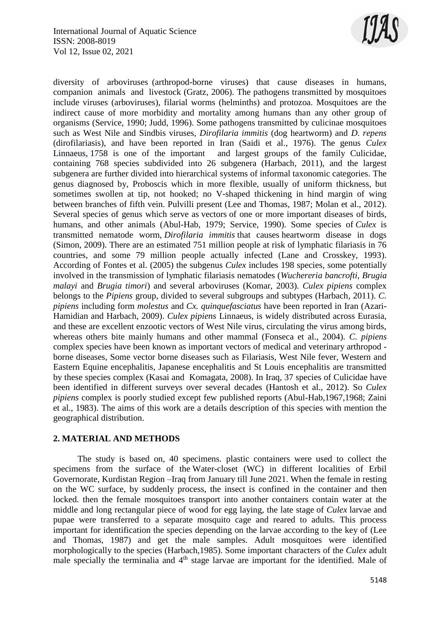

diversity of arboviruses (arthropod-borne viruses) that cause diseases in humans, companion animals and livestock (Gratz, 2006). The pathogens transmitted by mosquitoes include viruses (arboviruses), filarial worms (helminths) and protozoa. Mosquitoes are the indirect cause of more morbidity and mortality among humans than any other group of organisms (Service, 1990; Judd, 1996). Some pathogens transmitted by culicinae mosquitoes such as West Nile and Sindbis viruses, *Dirofilaria immitis* (dog heartworm) and *D. repens*  (dirofilariasis), and have been reported in Iran (Saidi et al., 1976). The genus *Culex* [Linnaeus,](https://en.wikipedia.org/wiki/Carl_Linnaeus) [1758](https://en.wikipedia.org/wiki/10th_edition_of_Systema_Naturae) is one of the important and largest groups of the family Culicidae, containing 768 species subdivided into 26 subgenera (Harbach, 2011), and the largest subgenera are further divided into hierarchical systems of informal taxonomic categories. The genus diagnosed by, Proboscis which in more flexible, usually of uniform thickness, but sometimes swollen at tip, not hooked; no V-shaped thickening in hind margin of wing between branches of fifth vein. Pulvilli present (Lee and Thomas, 1987; Molan et al., 2012). Several species of genus which serve as [vectors](https://en.wikipedia.org/wiki/Vector_(epidemiology)) of one or more important diseases of birds, humans, and other animals (Abul-Hab, 1979; Service, 1990). Some species of *Culex* is transmitted nematode worm, *Dirofilaria immitis* that causes [heartworm](https://en.wikipedia.org/wiki/Heartworm) disease in dogs (Simon, 2009). There are an estimated 751 million people at risk of lymphatic filariasis in 76 countries, and some 79 million people actually infected (Lane and Crosskey, 1993). According of Fontes et al. (2005) the subgenus *Culex* includes 198 species, some potentially involved in the transmission of lymphatic filariasis nematodes (*Wuchereria bancrofti*, *Brugia malayi* and *Brugia timori*) and several arboviruses (Komar, 2003). *Culex pipiens* complex belongs to the *Pipiens* group, divided to several subgroups and subtypes (Harbach, 2011). *C. pipiens* including form *molestus* and *Cx. quinquefasciatus* have been reported in Iran (Azari-Hamidian and Harbach, 2009). *Culex pipiens* Linnaeus, is widely distributed across Eurasia, and these are excellent enzootic vectors of West Nile virus, circulating the virus among birds, whereas others bite mainly humans and other mammal (Fonseca et al., 2004). *C. pipiens*  complex species have been known as important vectors of medical and veterinary arthropod borne diseases, Some vector borne diseases such as Filariasis, West Nile fever, Western and Eastern Equine encephalitis, Japanese encephalitis and St Louis encephalitis are transmitted by these species complex (Kasai and Komagata, 2008). In Iraq, 37 species of Culicidae have been identified in different surveys over several decades (Hantosh et al., 2012). So *Culex pipiens* complex is poorly studied except few published reports (Abul-Hab,1967,1968; Zaini et al., 1983). The aims of this work are a details description of this species with mention the geographical distribution.

#### **2. MATERIAL AND METHODS**

 The study is based on, 40 specimens. plastic containers were used to collect the specimens from the surface of the Water-closet (WC) in different localities of Erbil Governorate, Kurdistan Region –Iraq from January till June 2021. When the female in resting on the WC surface, by suddenly process, the insect is confined in the container and then locked. then the female mosquitoes transport into another containers contain water at the middle and long rectangular piece of wood for egg laying, the late stage of *Culex* larvae and pupae were transferred to a separate mosquito cage and reared to adults. This process important for identification the species depending on the larvae according to the key of (Lee and Thomas, 1987) and get the male samples. Adult mosquitoes were identified morphologically to the species (Harbach,1985). Some important characters of the *Culex* adult male specially the terminalia and  $4<sup>th</sup>$  stage larvae are important for the identified. Male of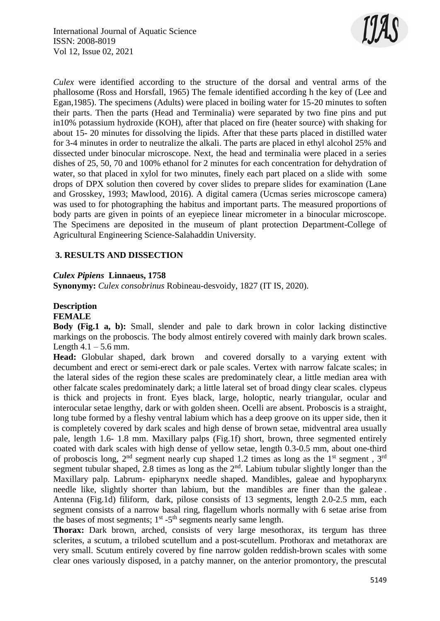

*Culex* were identified according to the structure of the dorsal and ventral arms of the phallosome (Ross and Horsfall, 1965) The female identified according h the key of (Lee and Egan,1985). The specimens (Adults) were placed in boiling water for 15-20 minutes to soften their parts. Then the parts (Head and Terminalia) were separated by two fine pins and put in10% potassium hydroxide (KOH), after that placed on fire (heater source) with shaking for about 15- 20 minutes for dissolving the lipids. After that these parts placed in distilled water for 3-4 minutes in order to neutralize the alkali. The parts are placed in ethyl alcohol 25% and dissected under binocular microscope. Next, the head and terminalia were placed in a series dishes of 25, 50, 70 and 100% ethanol for 2 minutes for each concentration for dehydration of water, so that placed in xylol for two minutes, finely each part placed on a slide with some drops of DPX solution then covered by cover slides to prepare slides for examination (Lane and Grosskey, 1993; Mawlood, 2016). A digital camera (Ucmas series microscope camera) was used to for photographing the habitus and important parts. The measured proportions of body parts are given in points of an eyepiece linear micrometer in a binocular microscope. The Specimens are deposited in the museum of plant protection Department-College of Agricultural Engineering Science-Salahaddin University.

#### **3. RESULTS AND DISSECTION**

#### *Culex Pipiens* **Linnaeus, 1758**

**Synonymy:** *Culex consobrinus* Robineau-desvoidy, 1827 (IT IS, 2020).

## **Description**

### **FEMALE**

**Body (Fig.1 a, b):** Small, slender and pale to dark brown in color lacking distinctive markings on the proboscis. The body almost entirely covered with mainly dark brown scales. Length  $4.1 - 5.6$  mm.

**Head:** Globular shaped, dark brown and covered dorsally to a varying extent with decumbent and erect or semi-erect dark or pale scales. Vertex with narrow falcate scales; in the lateral sides of the region these scales are predominately clear, a little median area with other falcate scales predominately dark; a little lateral set of broad dingy clear scales. clypeus is thick and projects in front. Eyes black, large, holoptic, nearly triangular, ocular and interocular setae lengthy, dark or with golden sheen. Ocelli are absent. Proboscis is a straight, long tube formed by a fleshy ventral labium which has a deep groove on its upper side, then it is completely covered by dark scales and high dense of brown setae, midventral area usually pale, length 1.6- 1.8 mm. Maxillary palps (Fig.1f) short, brown, three segmented entirely coated with dark scales with high dense of yellow setae, length 0.3-0.5 mm, about one-third of proboscis long,  $2<sup>nd</sup>$  segment nearly cup shaped 1.2 times as long as the 1<sup>st</sup> segment,  $3<sup>rd</sup>$ segment tubular shaped, 2.8 times as long as the  $2<sup>nd</sup>$ . Labium tubular slightly longer than the Maxillary palp. Labrum- epipharynx needle shaped. Mandibles, galeae and hypopharynx needle like, slightly shorter than labium, but the mandibles are finer than the galeae . Antenna (Fig.1d) filiform, dark, pilose consists of 13 segments, length 2.0-2.5 mm, each segment consists of a narrow basal ring, flagellum whorls normally with 6 setae arise from the bases of most segments;  $1<sup>st</sup> - 5<sup>th</sup>$  segments nearly same length.

**Thorax:** Dark brown, arched, consists of very large mesothorax, its tergum has three sclerites, a scutum, a trilobed scutellum and a post-scutellum. Prothorax and metathorax are very small. Scutum entirely covered by fine narrow golden reddish-brown scales with some clear ones variously disposed, in a patchy manner, on the anterior promontory, the prescutal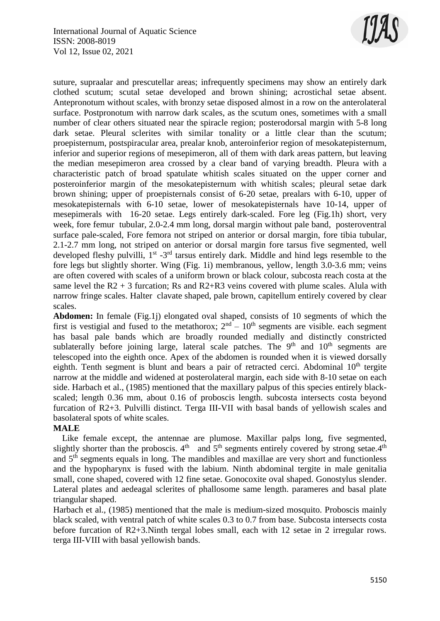

suture, supraalar and prescutellar areas; infrequently specimens may show an entirely dark clothed scutum; scutal setae developed and brown shining; acrostichal setae absent. Antepronotum without scales, with bronzy setae disposed almost in a row on the anterolateral surface. Postpronotum with narrow dark scales, as the scutum ones, sometimes with a small number of clear others situated near the spiracle region; posterodorsal margin with 5-8 long dark setae. Pleural sclerites with similar tonality or a little clear than the scutum; proepisternum, postspiracular area, prealar knob, anteroinferior region of mesokatepisternum, inferior and superior regions of mesepimeron, all of them with dark areas pattern, but leaving the median mesepimeron area crossed by a clear band of varying breadth. Pleura with a characteristic patch of broad spatulate whitish scales situated on the upper corner and posteroinferior margin of the mesokatepisternum with whitish scales; pleural setae dark brown shining; upper of proepisternals consist of 6-20 setae, prealars with 6-10, upper of mesokatepisternals with 6-10 setae, lower of mesokatepisternals have 10-14, upper of mesepimerals with 16-20 setae. Legs entirely dark-scaled. Fore leg (Fig.1h) short, very week, fore femur tubular, 2.0-2.4 mm long, dorsal margin without pale band, posteroventral surface pale-scaled, Fore femora not striped on anterior or dorsal margin, fore tibia tubular, 2.1-2.7 mm long, not striped on anterior or dorsal margin fore tarsus five segmented, well developed fleshy pulvilli, 1<sup>st</sup> -3<sup>rd</sup> tarsus entirely dark. Middle and hind legs resemble to the fore legs but slightly shorter. Wing (Fig. 1i) membranous, yellow, length 3.0-3.6 mm; veins are often covered with scales of a uniform brown or black colour, subcosta reach costa at the same level the  $R2 + 3$  furcation; Rs and  $R2+R3$  veins covered with plume scales. Alula with narrow fringe scales. Halter clavate shaped, pale brown, capitellum entirely covered by clear scales.

**Abdomen:** In female (Fig.1j) elongated oval shaped, consists of 10 segments of which the first is vestigial and fused to the metathorox;  $2<sup>nd</sup> - 10<sup>th</sup>$  segments are visible. each segment has basal pale bands which are broadly rounded medially and distinctly constricted sublaterally before joining large, lateral scale patches. The  $9<sup>th</sup>$  and  $10<sup>th</sup>$  segments are telescoped into the eighth once. Apex of the abdomen is rounded when it is viewed dorsally eighth. Tenth segment is blunt and bears a pair of retracted cerci. Abdominal  $10<sup>th</sup>$  tergite narrow at the middle and widened at posterolateral margin, each side with 8-10 setae on each side. Harbach et al., (1985) mentioned that the maxillary palpus of this species entirely blackscaled; length 0.36 mm, about 0.16 of proboscis length. subcosta intersects costa beyond furcation of R2+3. Pulvilli distinct. Terga III-VII with basal bands of yellowish scales and basolateral spots of white scales.

#### **MALE**

 Like female except, the antennae are plumose. Maxillar palps long, five segmented, slightly shorter than the proboscis.  $4<sup>th</sup>$  and  $5<sup>th</sup>$  segments entirely covered by strong setae. $4<sup>th</sup>$ and  $5<sup>th</sup>$  segments equals in long. The mandibles and maxillae are very short and functionless and the hypopharynx is fused with the labium. Ninth abdominal tergite in male genitalia small, cone shaped, covered with 12 fine setae. Gonocoxite oval shaped. Gonostylus slender. Lateral plates and aedeagal sclerites of phallosome same length. parameres and basal plate triangular shaped.

Harbach et al., (1985) mentioned that the male is medium-sized mosquito. Proboscis mainly black scaled, with ventral patch of white scales 0.3 to 0.7 from base. Subcosta intersects costa before furcation of R2+3.Ninth tergal lobes small, each with 12 setae in 2 irregular rows. terga III-VIII with basal yellowish bands.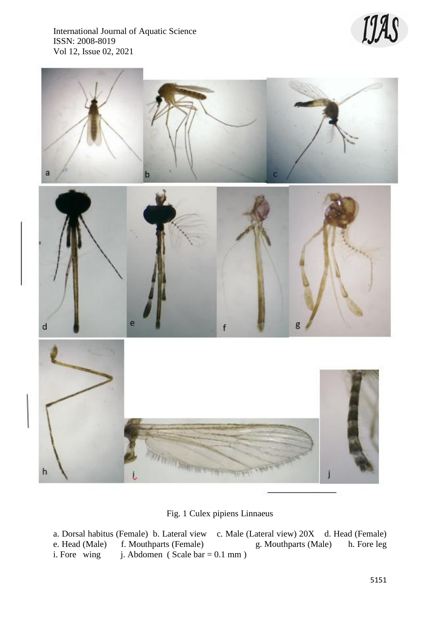International Journal of Aquatic Science ISSN: 2008-8019 Vol 12, Issue 02, 2021





Fig. 1 Culex pipiens Linnaeus

a. Dorsal habitus (Female) b. Lateral view c. Male (Lateral view) 20X d. Head (Female) e. Head (Male) f. Mouthparts (Female) g. Mouthparts (Male) h. Fore leg i. Fore wing j. Abdomen (Scale bar = 0.1 mm) j. Abdomen ( Scale bar =  $0.1$  mm )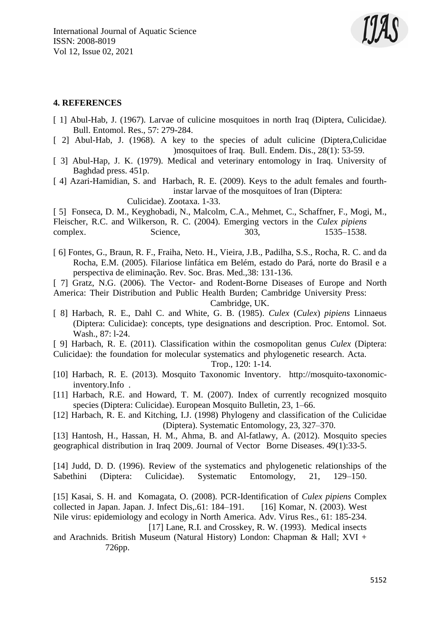

#### **4. REFERENCES**

- [ 1] Abul-Hab, J. (1967). Larvae of culicine mosquitoes in north Iraq (Diptera, Culicidae*).*  Bull. Entomol. Res., 57: 279-284.
- [ 2] Abul-Hab, J. (1968). A key to the species of adult culicine (Diptera,Culicidae )mosquitoes of Iraq. Bull. Endem. Dis., 28(1): 53-59.
- [ 3] Abul-Hap, J. K. (1979). Medical and veterinary entomology in Iraq. University of Baghdad press. 451p.

[ 4] Azari-Hamidian, S. and Harbach, R. E. (2009). Keys to the adult females and fourthinstar larvae of the mosquitoes of Iran (Diptera:

Culicidae). Zootaxa. 1-33.

[ 5] Fonseca, D. M., Keyghobadi, N., Malcolm, C.A., Mehmet, C., Schaffner, F., Mogi, M., Fleischer, R.C. and Wilkerson, R. C. (2004). Emerging vectors in the *Culex pipiens* complex. Science, 303, 1535–1538.

- [ 6] Fontes, G., Braun, R. F., Fraiha, Neto. H., Vieira, J.B., Padilha, S.S., Rocha, R. C. and da Rocha, E.M. (2005). Filariose linfática em Belém, estado do Pará, norte do Brasil e a perspectiva de eliminação. Rev. Soc. Bras. Med.,38: 131-136.
- [ 7] Gratz, N.G. (2006). The Vector- and Rodent-Borne Diseases of Europe and North America: Their Distribution and Public Health Burden; Cambridge University Press:

Cambridge, UK.

- [ 8] Harbach, R. E., Dahl C. and White, G. B. (1985). *Culex* (*Culex*) *pipiens* Linnaeus (Diptera: Culicidae): concepts, type designations and description. Proc. Entomol. Sot. Wash., 87: l-24.
- [ 9] Harbach, R. E. (2011). Classification within the cosmopolitan genus *Culex* (Diptera: Culicidae): the foundation for molecular systematics and phylogenetic research. Acta.

Trop., 120: 1-14.

- [10] Harbach, R. E. (2013). Mosquito Taxonomic Inventory. [http://mosquito-taxonomic](http://mosquito-taxonomic-inventory.info/)[inventory.Info](http://mosquito-taxonomic-inventory.info/) .
- [11] Harbach, R.E. and Howard, T. M. (2007). Index of currently recognized mosquito species (Diptera: Culicidae). European Mosquito Bulletin, 23, 1–66.
- [12] Harbach, R. E. and Kitching, I.J. (1998) Phylogeny and classification of the Culicidae (Diptera). Systematic Entomology, 23, 327–370.

[13] [Hantosh,](https://www.researchgate.net/profile/Haidar-Hantosh?_sg%5B0%5D=0K4sSGGn3uEoczmcyo3EbryKJW_FdGIGWFeKx22cEiy_5aF7jyJoikoYzOHvIJVG8mQe-_M.O9_ouWYY3mCoqefiuS8pEY1mSnL7op98i_-4FkEga4QNkx5nVVFHnBdSuJd0lEBylxKPVqubB0H6hydNQriLyQ&_sg%5B1%5D=PNOKYcq8SbHOdiQlS7IjSpgUKl6QaH49An3f9ytkRWxWYqhjx_5kaMMUKO5GkydxzqYM6xY.0Nl-tWGk0eiJsDc5ReisnbSvQb5y5jmZfwKzMNtfLO3sgXa2Cmj2a8LSzU_flmMIcVXBzb3DY38Ifr8j5mHjGQ) H., [Hassan,](https://www.researchgate.net/scientific-contributions/Hameeda-M-Hassan-75793930?_sg%5B0%5D=0K4sSGGn3uEoczmcyo3EbryKJW_FdGIGWFeKx22cEiy_5aF7jyJoikoYzOHvIJVG8mQe-_M.O9_ouWYY3mCoqefiuS8pEY1mSnL7op98i_-4FkEga4QNkx5nVVFHnBdSuJd0lEBylxKPVqubB0H6hydNQriLyQ&_sg%5B1%5D=PNOKYcq8SbHOdiQlS7IjSpgUKl6QaH49An3f9ytkRWxWYqhjx_5kaMMUKO5GkydxzqYM6xY.0Nl-tWGk0eiJsDc5ReisnbSvQb5y5jmZfwKzMNtfLO3sgXa2Cmj2a8LSzU_flmMIcVXBzb3DY38Ifr8j5mHjGQ) H. M., Ahma, B. and [Al-fatlawy,](https://www.researchgate.net/scientific-contributions/Ali-Al-fatlawy-75790111?_sg%5B0%5D=0K4sSGGn3uEoczmcyo3EbryKJW_FdGIGWFeKx22cEiy_5aF7jyJoikoYzOHvIJVG8mQe-_M.O9_ouWYY3mCoqefiuS8pEY1mSnL7op98i_-4FkEga4QNkx5nVVFHnBdSuJd0lEBylxKPVqubB0H6hydNQriLyQ&_sg%5B1%5D=PNOKYcq8SbHOdiQlS7IjSpgUKl6QaH49An3f9ytkRWxWYqhjx_5kaMMUKO5GkydxzqYM6xY.0Nl-tWGk0eiJsDc5ReisnbSvQb5y5jmZfwKzMNtfLO3sgXa2Cmj2a8LSzU_flmMIcVXBzb3DY38Ifr8j5mHjGQ) A. (2012). Mosquito species geographical distribution in Iraq 2009. Journal of Vector Borne Diseases. 49(1):33-5.

[14] Judd, D. D. (1996). Review of the systematics and phylogenetic relationships of the Sabethini (Diptera: Culicidae). Systematic Entomology, 21, 129–150.

[15] Kasai, S. H. and Komagata, O. (2008). PCR-Identification of *Culex pipiens* Complex collected in Japan. Japan. J. Infect Dis,.61: 184–191. [16] Komar, N. (2003). West Nile virus: epidemiology and ecology in North America. Adv. Virus Res., 61: 185-234. [17] Lane, R.I. and Crosskey, R. W. (1993). Medical insects

and Arachnids. British Museum (Natural History) London: Chapman & Hall; XVI + 726pp.